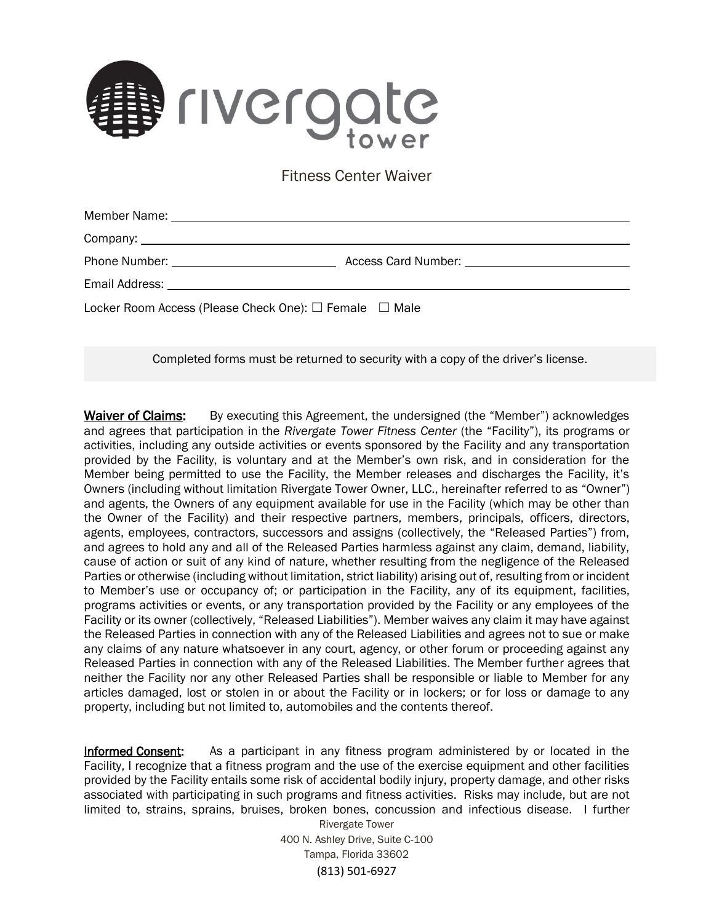

Fitness Center Waiver

| Locker Room Access (Please Check One): $\Box$ Female $\Box$ Male |  |
|------------------------------------------------------------------|--|

Completed forms must be returned to security with a copy of the driver's license.

Waiver of Claims: By executing this Agreement, the undersigned (the "Member") acknowledges and agrees that participation in the *Rivergate Tower Fitness Center* (the "Facility"), its programs or activities, including any outside activities or events sponsored by the Facility and any transportation provided by the Facility, is voluntary and at the Member's own risk, and in consideration for the Member being permitted to use the Facility, the Member releases and discharges the Facility, it's Owners (including without limitation Rivergate Tower Owner, LLC., hereinafter referred to as "Owner") and agents, the Owners of any equipment available for use in the Facility (which may be other than the Owner of the Facility) and their respective partners, members, principals, officers, directors, agents, employees, contractors, successors and assigns (collectively, the "Released Parties") from, and agrees to hold any and all of the Released Parties harmless against any claim, demand, liability, cause of action or suit of any kind of nature, whether resulting from the negligence of the Released Parties or otherwise (including without limitation, strict liability) arising out of, resulting from or incident to Member's use or occupancy of; or participation in the Facility, any of its equipment, facilities, programs activities or events, or any transportation provided by the Facility or any employees of the Facility or its owner (collectively, "Released Liabilities"). Member waives any claim it may have against the Released Parties in connection with any of the Released Liabilities and agrees not to sue or make any claims of any nature whatsoever in any court, agency, or other forum or proceeding against any Released Parties in connection with any of the Released Liabilities. The Member further agrees that neither the Facility nor any other Released Parties shall be responsible or liable to Member for any articles damaged, lost or stolen in or about the Facility or in lockers; or for loss or damage to any property, including but not limited to, automobiles and the contents thereof.

Informed Consent: As a participant in any fitness program administered by or located in the Facility, I recognize that a fitness program and the use of the exercise equipment and other facilities provided by the Facility entails some risk of accidental bodily injury, property damage, and other risks associated with participating in such programs and fitness activities. Risks may include, but are not limited to, strains, sprains, bruises, broken bones, concussion and infectious disease. I further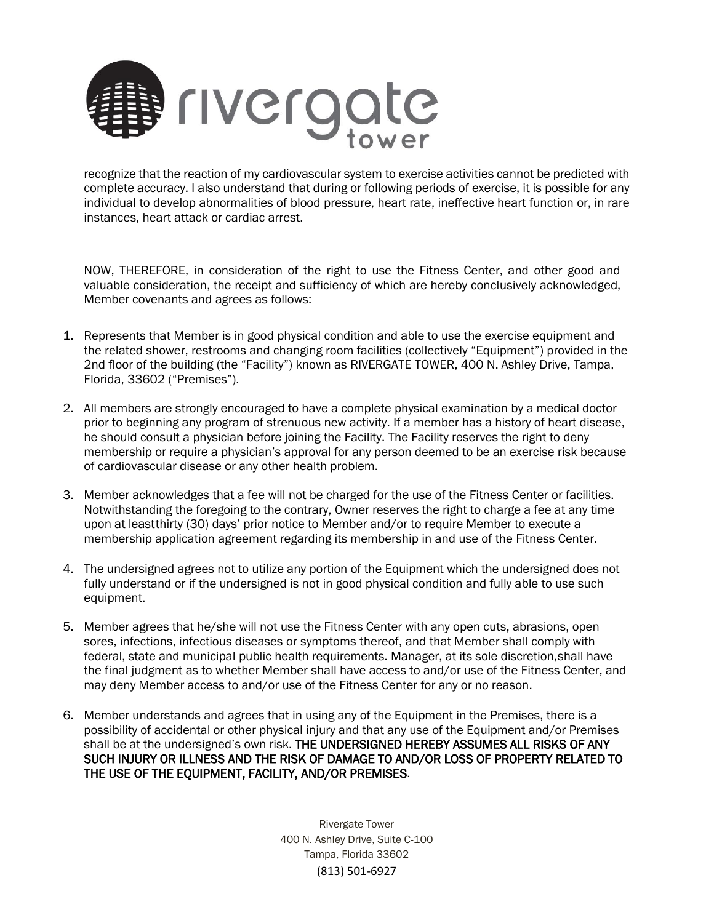

recognize that the reaction of my cardiovascular system to exercise activities cannot be predicted with complete accuracy. I also understand that during or following periods of exercise, it is possible for any individual to develop abnormalities of blood pressure, heart rate, ineffective heart function or, in rare instances, heart attack or cardiac arrest.

NOW, THEREFORE, in consideration of the right to use the Fitness Center, and other good and valuable consideration, the receipt and sufficiency of which are hereby conclusively acknowledged, Member covenants and agrees as follows:

- 1. Represents that Member is in good physical condition and able to use the exercise equipment and the related shower, restrooms and changing room facilities (collectively "Equipment") provided in the 2nd floor of the building (the "Facility") known as RIVERGATE TOWER, 400 N. Ashley Drive, Tampa, Florida, 33602 ("Premises").
- 2. All members are strongly encouraged to have a complete physical examination by a medical doctor prior to beginning any program of strenuous new activity. If a member has a history of heart disease, he should consult a physician before joining the Facility. The Facility reserves the right to deny membership or require a physician's approval for any person deemed to be an exercise risk because of cardiovascular disease or any other health problem.
- 3. Member acknowledges that a fee will not be charged for the use of the Fitness Center or facilities. Notwithstanding the foregoing to the contrary, Owner reserves the right to charge a fee at any time upon at leastthirty (30) days' prior notice to Member and/or to require Member to execute a membership application agreement regarding its membership in and use of the Fitness Center.
- 4. The undersigned agrees not to utilize any portion of the Equipment which the undersigned does not fully understand or if the undersigned is not in good physical condition and fully able to use such equipment.
- 5. Member agrees that he/she will not use the Fitness Center with any open cuts, abrasions, open sores, infections, infectious diseases or symptoms thereof, and that Member shall comply with federal, state and municipal public health requirements. Manager, at its sole discretion,shall have the final judgment as to whether Member shall have access to and/or use of the Fitness Center, and may deny Member access to and/or use of the Fitness Center for any or no reason.
- 6. Member understands and agrees that in using any of the Equipment in the Premises, there is a possibility of accidental or other physical injury and that any use of the Equipment and/or Premises shall be at the undersigned's own risk. THE UNDERSIGNED HEREBY ASSUMES ALL RISKS OF ANY SUCH INJURY OR ILLNESS AND THE RISK OF DAMAGE TO AND/OR LOSS OF PROPERTY RELATED TO THE USE OF THE EQUIPMENT, FACILITY, AND/OR PREMISES.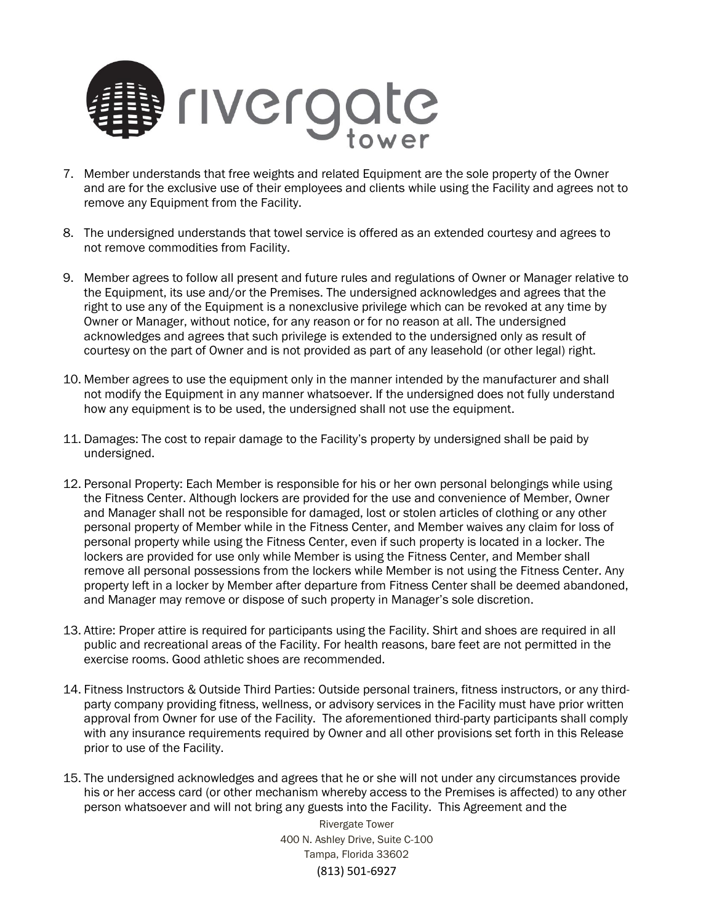

- 7. Member understands that free weights and related Equipment are the sole property of the Owner and are for the exclusive use of their employees and clients while using the Facility and agrees not to remove any Equipment from the Facility.
- 8. The undersigned understands that towel service is offered as an extended courtesy and agrees to not remove commodities from Facility.
- 9. Member agrees to follow all present and future rules and regulations of Owner or Manager relative to the Equipment, its use and/or the Premises. The undersigned acknowledges and agrees that the right to use any of the Equipment is a nonexclusive privilege which can be revoked at any time by Owner or Manager, without notice, for any reason or for no reason at all. The undersigned acknowledges and agrees that such privilege is extended to the undersigned only as result of courtesy on the part of Owner and is not provided as part of any leasehold (or other legal) right.
- 10. Member agrees to use the equipment only in the manner intended by the manufacturer and shall not modify the Equipment in any manner whatsoever. If the undersigned does not fully understand how any equipment is to be used, the undersigned shall not use the equipment.
- 11. Damages: The cost to repair damage to the Facility's property by undersigned shall be paid by undersigned.
- 12. Personal Property: Each Member is responsible for his or her own personal belongings while using the Fitness Center. Although lockers are provided for the use and convenience of Member, Owner and Manager shall not be responsible for damaged, lost or stolen articles of clothing or any other personal property of Member while in the Fitness Center, and Member waives any claim for loss of personal property while using the Fitness Center, even if such property is located in a locker. The lockers are provided for use only while Member is using the Fitness Center, and Member shall remove all personal possessions from the lockers while Member is not using the Fitness Center. Any property left in a locker by Member after departure from Fitness Center shall be deemed abandoned, and Manager may remove or dispose of such property in Manager's sole discretion.
- 13. Attire: Proper attire is required for participants using the Facility. Shirt and shoes are required in all public and recreational areas of the Facility. For health reasons, bare feet are not permitted in the exercise rooms. Good athletic shoes are recommended.
- 14. Fitness Instructors & Outside Third Parties: Outside personal trainers, fitness instructors, or any thirdparty company providing fitness, wellness, or advisory services in the Facility must have prior written approval from Owner for use of the Facility. The aforementioned third-party participants shall comply with any insurance requirements required by Owner and all other provisions set forth in this Release prior to use of the Facility.
- 15. The undersigned acknowledges and agrees that he or she will not under any circumstances provide his or her access card (or other mechanism whereby access to the Premises is affected) to any other person whatsoever and will not bring any guests into the Facility. This Agreement and the